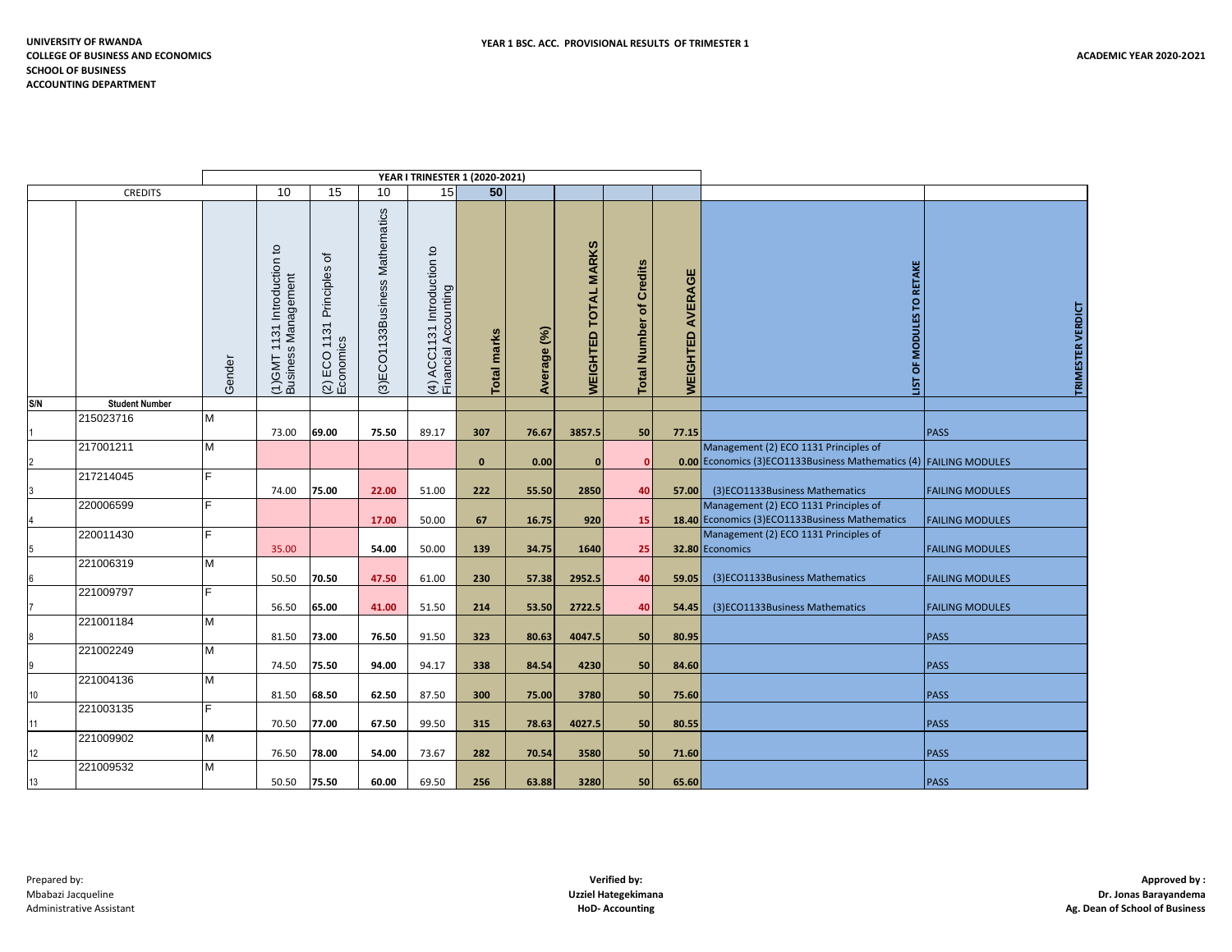| <b>CREDITS</b> |                       |        | 10                                                 | 15                                | 10                             | 15                                                                      | 50           |             |                                       |                                   |                     |                                                                                                            |                        |
|----------------|-----------------------|--------|----------------------------------------------------|-----------------------------------|--------------------------------|-------------------------------------------------------------------------|--------------|-------------|---------------------------------------|-----------------------------------|---------------------|------------------------------------------------------------------------------------------------------------|------------------------|
|                |                       | Gender | (1)GMT 1131 Introduction to<br>Business Management | ৳<br>Principles<br>$(2)$ ECO 1131 | (3)ECO1133Business Mathematics | $\mathtt{c}$<br>131 Introduction<br>Accounting<br>(4) ACC1<br>Financial | Total marks  | Average (%) | <b>MARKS</b><br><b>WEIGHTED TOTAL</b> | of Credits<br><b>Total Number</b> | AVERAGE<br>WEIGHTED | TO RETAKE<br>OF MODULES<br>ПSП                                                                             | TRIMESTER VERDICT      |
| S/N            | <b>Student Number</b> |        |                                                    |                                   |                                |                                                                         |              |             |                                       |                                   |                     |                                                                                                            |                        |
|                | 215023716             | M      | 73.00                                              | 69.00                             | 75.50                          | 89.17                                                                   | 307          | 76.67       | 3857.5                                | 50                                | 77.15               |                                                                                                            | <b>PASS</b>            |
|                | 217001211             | M      |                                                    |                                   |                                |                                                                         | $\mathbf{0}$ | 0.00        | $\mathbf{0}$                          | $\mathbf{0}$                      |                     | Management (2) ECO 1131 Principles of<br>0.00 Economics (3)ECO1133Business Mathematics (4) FAILING MODULES |                        |
|                | 217214045             | F      | 74.00                                              | 75.00                             | 22.00                          | 51.00                                                                   | 222          | 55.50       | 2850                                  | 40                                | 57.00               | (3)ECO1133Business Mathematics                                                                             | <b>FAILING MODULES</b> |
|                | 220006599             | F      |                                                    |                                   |                                |                                                                         |              |             |                                       |                                   |                     | Management (2) ECO 1131 Principles of                                                                      |                        |
|                | 220011430             | F.     |                                                    |                                   | 17.00                          | 50.00                                                                   | 67           | 16.75       | 920                                   | 15                                |                     | 18.40 Economics (3)ECO1133Business Mathematics<br>Management (2) ECO 1131 Principles of                    | <b>FAILING MODULES</b> |
| 5              |                       |        | 35.00                                              |                                   | 54.00                          | 50.00                                                                   | 139          | 34.75       | 1640                                  | 25                                |                     | 32.80 Economics                                                                                            | <b>FAILING MODULES</b> |
|                | 221006319             | M      | 50.50                                              | 70.50                             | 47.50                          | 61.00                                                                   | 230          | 57.38       | 2952.5                                | 40                                | 59.05               | (3)ECO1133Business Mathematics                                                                             | <b>FAILING MODULES</b> |
|                | 221009797             | F      | 56.50                                              | 65.00                             | 41.00                          | 51.50                                                                   | 214          | 53.50       | 2722.5                                | 40                                | 54.45               | (3)ECO1133Business Mathematics                                                                             | <b>FAILING MODULES</b> |
| l8             | 221001184             | M      | 81.50                                              | 73.00                             | 76.50                          | 91.50                                                                   | 323          | 80.63       | 4047.5                                | 50                                | 80.95               |                                                                                                            | <b>PASS</b>            |
| 19             | 221002249             | M      | 74.50                                              | 75.50                             | 94.00                          | 94.17                                                                   | 338          |             | 4230                                  | 50                                | 84.60               |                                                                                                            | <b>PASS</b>            |
|                | 221004136             | M      |                                                    |                                   |                                |                                                                         |              | 84.54       |                                       |                                   |                     |                                                                                                            |                        |
| 10             | 221003135             | F      | 81.50                                              | 68.50                             | 62.50                          | 87.50                                                                   | 300          | 75.00       | 3780                                  | 50                                | 75.60               |                                                                                                            | <b>PASS</b>            |
| 11             |                       |        | 70.50                                              | 77.00                             | 67.50                          | 99.50                                                                   | 315          | 78.63       | 4027.5                                | 50                                | 80.55               |                                                                                                            | <b>PASS</b>            |
|                | 221009902             | M      |                                                    |                                   |                                |                                                                         |              |             |                                       |                                   |                     |                                                                                                            |                        |
| 12             | 221009532             | M      | 76.50                                              | 78.00                             | 54.00                          | 73.67                                                                   | 282          | 70.54       | 3580                                  | 50                                | 71.60               |                                                                                                            | <b>PASS</b>            |
| $13$           |                       |        | 50.50                                              | 75.50                             | 60.00                          | 69.50                                                                   | 256          | 63.88       | 3280                                  | 50                                | 65.60               |                                                                                                            | PASS                   |

**YEAR I TRINESTER 1 (2020-2021)**